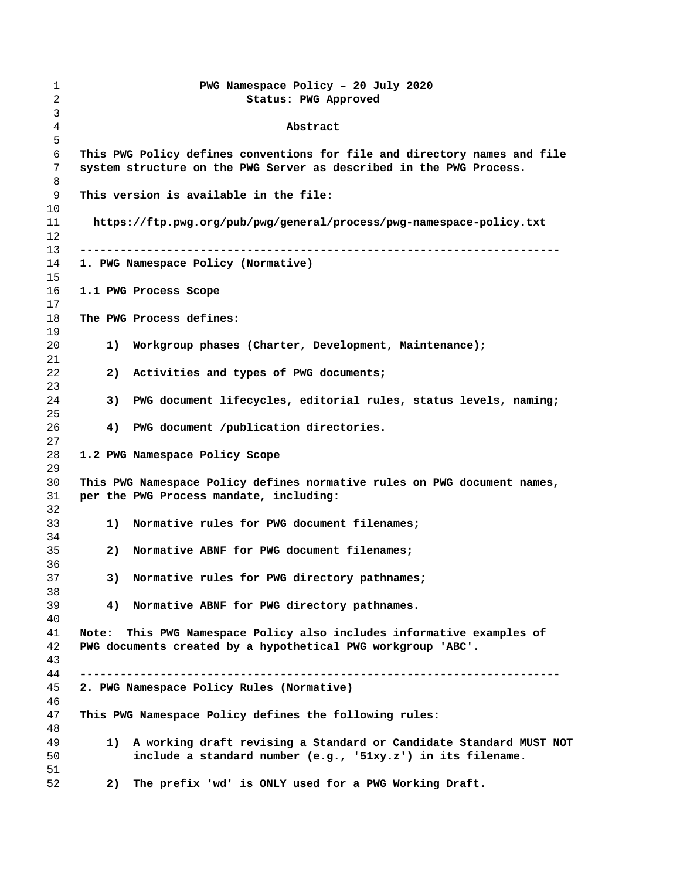| 1<br>2   |       |    | PWG Namespace Policy - 20 July 2020<br>Status: PWG Approved                                                                                      |
|----------|-------|----|--------------------------------------------------------------------------------------------------------------------------------------------------|
| 3<br>4   |       |    | Abstract                                                                                                                                         |
| 5        |       |    |                                                                                                                                                  |
| 6<br>7   |       |    | This PWG Policy defines conventions for file and directory names and file<br>system structure on the PWG Server as described in the PWG Process. |
| 8<br>9   |       |    | This version is available in the file:                                                                                                           |
| 10       |       |    |                                                                                                                                                  |
| 11<br>12 |       |    | https://ftp.pwg.org/pub/pwg/general/process/pwg-namespace-policy.txt                                                                             |
| 13       |       |    |                                                                                                                                                  |
| 14<br>15 |       |    | 1. PWG Namespace Policy (Normative)                                                                                                              |
| 16<br>17 |       |    | 1.1 PWG Process Scope                                                                                                                            |
| 18<br>19 |       |    | The PWG Process defines:                                                                                                                         |
| 20       |       | 1) | Workgroup phases (Charter, Development, Maintenance);                                                                                            |
| 21<br>22 |       | 2) | Activities and types of PWG documents;                                                                                                           |
| 23<br>24 |       | 3) | PWG document lifecycles, editorial rules, status levels, naming;                                                                                 |
| 25<br>26 |       | 4) | PWG document /publication directories.                                                                                                           |
| 27<br>28 |       |    | 1.2 PWG Namespace Policy Scope                                                                                                                   |
| 29<br>30 |       |    | This PWG Namespace Policy defines normative rules on PWG document names,                                                                         |
| 31<br>32 |       |    | per the PWG Process mandate, including:                                                                                                          |
| 33<br>34 |       | 1) | Normative rules for PWG document filenames;                                                                                                      |
| 35       |       | 2) | Normative ABNF for PWG document filenames;                                                                                                       |
| 36<br>37 |       | 3) | Normative rules for PWG directory pathnames;                                                                                                     |
| 38<br>39 |       | 4) | Normative ABNF for PWG directory pathnames.                                                                                                      |
| 40<br>41 | Note: |    | This PWG Namespace Policy also includes informative examples of                                                                                  |
| 42       |       |    | PWG documents created by a hypothetical PWG workgroup 'ABC'.                                                                                     |
| 43<br>44 |       |    |                                                                                                                                                  |
| 45<br>46 |       |    | 2. PWG Namespace Policy Rules (Normative)                                                                                                        |
| 47<br>48 |       |    | This PWG Namespace Policy defines the following rules:                                                                                           |
| 49       |       | 1) | A working draft revising a Standard or Candidate Standard MUST NOT                                                                               |
| 50<br>51 |       |    | include a standard number (e.g., '51xy.z') in its filename.                                                                                      |
| 52       |       | 2) | The prefix 'wd' is ONLY used for a PWG Working Draft.                                                                                            |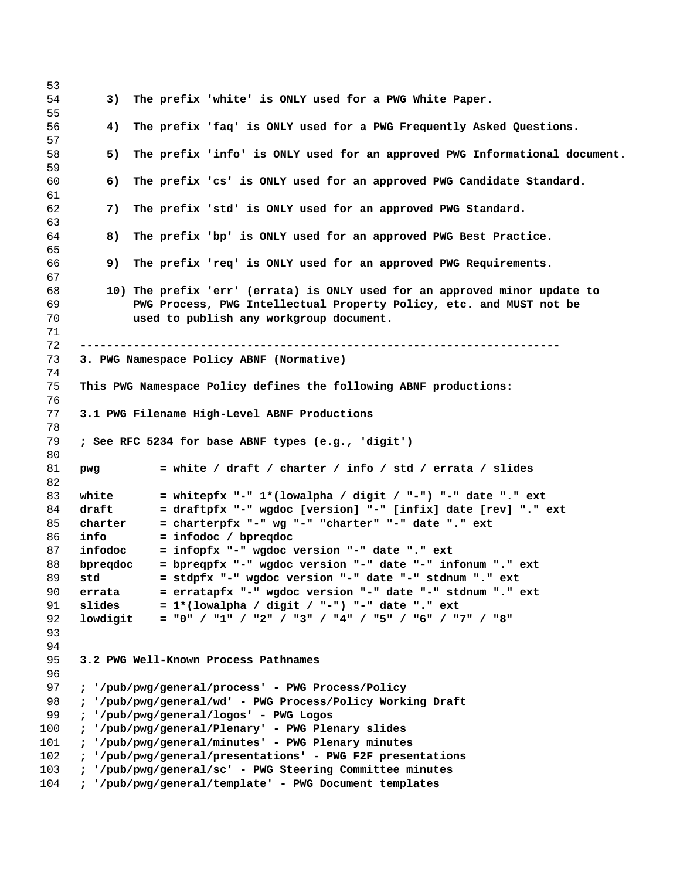**3) The prefix 'white' is ONLY used for a PWG White Paper. 4) The prefix 'faq' is ONLY used for a PWG Frequently Asked Questions. 5) The prefix 'info' is ONLY used for an approved PWG Informational document. 6) The prefix 'cs' is ONLY used for an approved PWG Candidate Standard. 7) The prefix 'std' is ONLY used for an approved PWG Standard. 8) The prefix 'bp' is ONLY used for an approved PWG Best Practice. 9) The prefix 'req' is ONLY used for an approved PWG Requirements. 10) The prefix 'err' (errata) is ONLY used for an approved minor update to PWG Process, PWG Intellectual Property Policy, etc. and MUST not be used to publish any workgroup document. ------------------------------------------------------------------------ 3. PWG Namespace Policy ABNF (Normative) This PWG Namespace Policy defines the following ABNF productions: 3.1 PWG Filename High-Level ABNF Productions ; See RFC 5234 for base ABNF types (e.g., 'digit') pwg = white / draft / charter / info / std / errata / slides white = whitepfx "-" 1\*(lowalpha / digit / "-") "-" date "." ext draft = draftpfx "-" wgdoc [version] "-" [infix] date [rev] "." ext charter = charterpfx "-" wg "-" "charter" "-" date "." ext info = infodoc / bpreqdoc infodoc = infopfx "-" wgdoc version "-" date "." ext bpreqdoc = bpreqpfx "-" wgdoc version "-" date "-" infonum "." ext std = stdpfx "-" wgdoc version "-" date "-" stdnum "." ext errata = erratapfx "-" wgdoc version "-" date "-" stdnum "." ext slides = 1\*(lowalpha / digit / "-") "-" date "." ext lowdigit = "0" / "1" / "2" / "3" / "4" / "5" / "6" / "7" / "8" 3.2 PWG Well-Known Process Pathnames ; '/pub/pwg/general/process' - PWG Process/Policy ; '/pub/pwg/general/wd' - PWG Process/Policy Working Draft ; '/pub/pwg/general/logos' - PWG Logos ; '/pub/pwg/general/Plenary' - PWG Plenary slides ; '/pub/pwg/general/minutes' - PWG Plenary minutes ; '/pub/pwg/general/presentations' - PWG F2F presentations ; '/pub/pwg/general/sc' - PWG Steering Committee minutes ; '/pub/pwg/general/template' - PWG Document templates**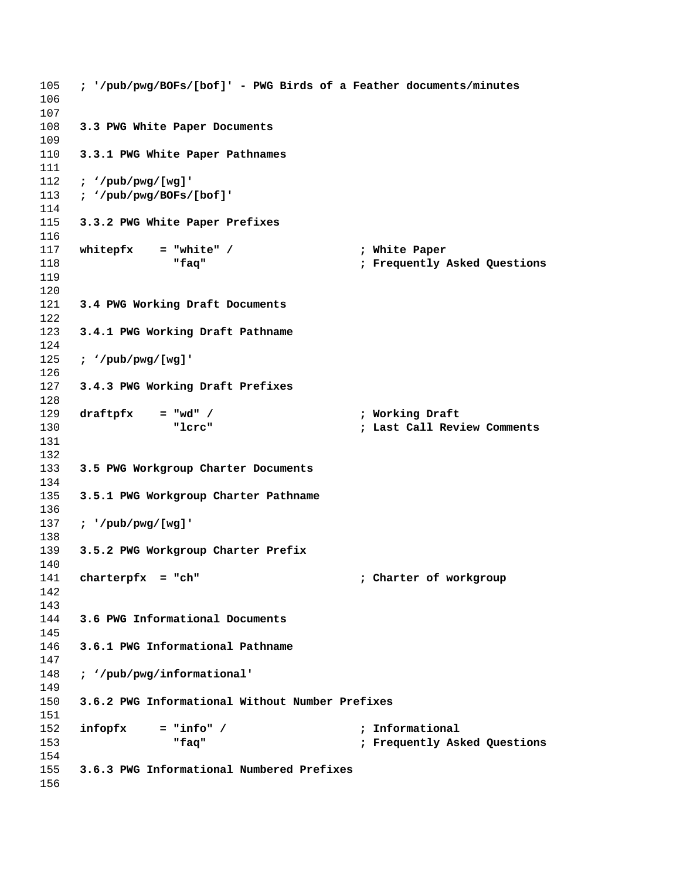```
105 ; '/pub/pwg/BOFs/[bof]' - PWG Birds of a Feather documents/minutes
106
107
108 3.3 PWG White Paper Documents
109
110 3.3.1 PWG White Paper Pathnames
111
112 ; '/pub/pwg/[wg]'
113 ; '/pub/pwg/BOFs/[bof]'
114
115 3.3.2 PWG White Paper Prefixes
116
117 whitepfx = "white" / ; White Paper
118 "faq" ; Frequently Asked Questions
119
120
121 3.4 PWG Working Draft Documents
122
123 3.4.1 PWG Working Draft Pathname
124
125 ; '/pub/pwg/[wg]'
126
127 3.4.3 PWG Working Draft Prefixes
128
129 draftpfx = "wd" / ; Working Draft
130 "lcrc" ; Last Call Review Comments
131
132
133 3.5 PWG Workgroup Charter Documents
134
135 3.5.1 PWG Workgroup Charter Pathname
136
137 ; '/pub/pwg/[wg]'
138
139 3.5.2 PWG Workgroup Charter Prefix
140
141 charterpfx = "ch" ; Charter of workgroup
142
143
144 3.6 PWG Informational Documents
145
146 3.6.1 PWG Informational Pathname
147
148 ; '/pub/pwg/informational'
149
150 3.6.2 PWG Informational Without Number Prefixes
151
152 infopfx = "info" / ; Informational
153 "faq" ; Frequently Asked Questions
154
155 3.6.3 PWG Informational Numbered Prefixes
156
```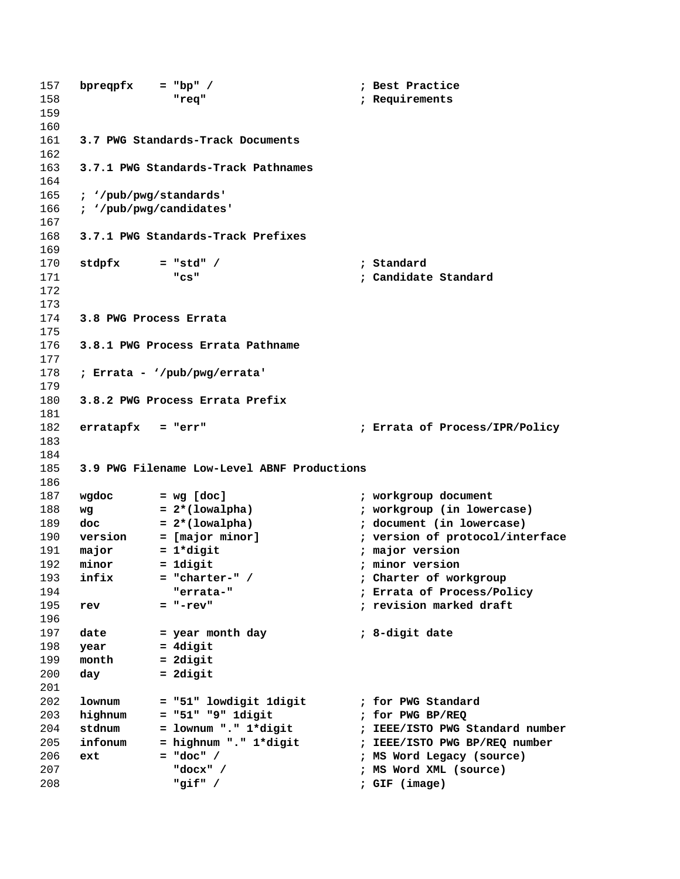```
157 bpreqpfx = "bp" / ; Best Practice
158 "req" ; Requirements
159
160
161 3.7 PWG Standards-Track Documents
162
163 3.7.1 PWG Standards-Track Pathnames
164
165 ; '/pub/pwg/standards'
166 ; '/pub/pwg/candidates'
167
168 3.7.1 PWG Standards-Track Prefixes
169
170 stdpfx = "std" / ; Standard 
171 "cs" ; Candidate Standard
172
173
174 3.8 PWG Process Errata
175
176 3.8.1 PWG Process Errata Pathname
177
178 ; Errata - '/pub/pwg/errata'
179
180 3.8.2 PWG Process Errata Prefix
181
182 erratapfx = "err" ; Errata of Process/IPR/Policy
183
184
185 3.9 PWG Filename Low-Level ABNF Productions
186
187 wgdoc = wg [doc] ; workgroup document
188 wg = 2*(lowalpha) ; workgroup (in lowercase)
189 doc = 2*(lowalpha) ; document (in lowercase)
190 version = [major minor] ; version of protocol/interface
191 major = 1*digit ; major version
192 minor = 1digit ; minor version
193 infix = "charter-" / ; Charter of workgroup
194 "errata-" ; Errata of Process/Policy
195 rev = "-rev" ; revision marked draft
196
197 date = year month day ; 8-digit date
198 year = 4digit
199 month = 2digit
200 day = 2digit
201
202 lownum = "51" lowdigit 1digit ; for PWG Standard
203 highnum = "51" "9" 1digit ; for PWG BP/REQ
204 stdnum = lownum "." 1*digit ; IEEE/ISTO PWG Standard number
205 infonum = highnum "." 1*digit ; IEEE/ISTO PWG BP/REQ number
206 ext = "doc" / ; MS Word Legacy (source)
207 "docx" / ; MS Word XML (source)
208 "gif" / ; GIF (image)
```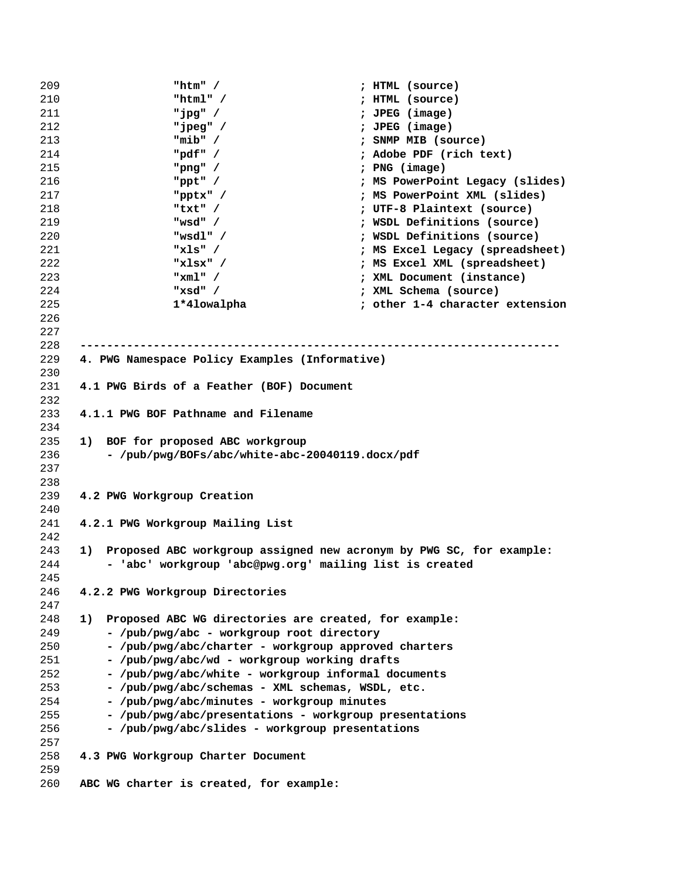```
209 "htm" / ; HTML (source)
210 "html" / ; HTML (source)
211 "jpg" / ; JPEG (image)
212 "jpeg" / ; JPEG (image)
213 "mib" / ; SNMP MIB (source)
214 "pdf" / ; Adobe PDF (rich text)
215 "png" / ; PNG (image)
216 "ppt" / ; MS PowerPoint Legacy (slides)
217 "pptx" / ; MS PowerPoint XML (slides)
218 "txt" / ; UTF-8 Plaintext (source)
219 "wsd" / ; WSDL Definitions (source)
220 "wsdl" / ; WSDL Definitions (source)
221 "xls" / ; MS Excel Legacy (spreadsheet)
222 "xlsx" / ; MS Excel XML (spreadsheet)
223 "xml" / ; XML Document (instance)
224 "xsd" / ; XML Schema (source)
225 1*4lowalpha ; other 1-4 character extension
226
227
228 ------------------------------------------------------------------------
229 4. PWG Namespace Policy Examples (Informative)
230
231 4.1 PWG Birds of a Feather (BOF) Document
232
233 4.1.1 PWG BOF Pathname and Filename
234
235 1) BOF for proposed ABC workgroup
236 - /pub/pwg/BOFs/abc/white-abc-20040119.docx/pdf
237
238
239 4.2 PWG Workgroup Creation
240
241 4.2.1 PWG Workgroup Mailing List
242
243 1) Proposed ABC workgroup assigned new acronym by PWG SC, for example:
244 - 'abc' workgroup 'abc@pwg.org' mailing list is created
245
246 4.2.2 PWG Workgroup Directories
247
248 1) Proposed ABC WG directories are created, for example:
249 - /pub/pwg/abc - workgroup root directory
250 - /pub/pwg/abc/charter - workgroup approved charters
251 - /pub/pwg/abc/wd - workgroup working drafts
252 - /pub/pwg/abc/white - workgroup informal documents
253 - /pub/pwg/abc/schemas - XML schemas, WSDL, etc.
254 - /pub/pwg/abc/minutes - workgroup minutes
255 - /pub/pwg/abc/presentations - workgroup presentations
256 - /pub/pwg/abc/slides - workgroup presentations
257
258 4.3 PWG Workgroup Charter Document
259
260 ABC WG charter is created, for example:
```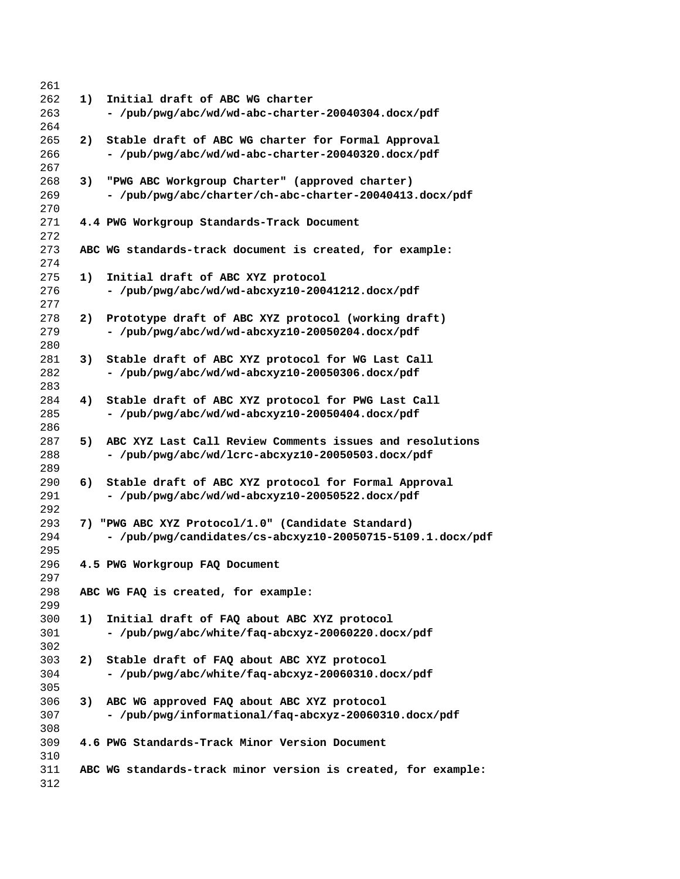| 261 |    |                                                               |
|-----|----|---------------------------------------------------------------|
| 262 | 1) | Initial draft of ABC WG charter                               |
| 263 |    | - /pub/pwg/abc/wd/wd-abc-charter-20040304.docx/pdf            |
| 264 |    |                                                               |
| 265 | 2) | Stable draft of ABC WG charter for Formal Approval            |
| 266 |    | - /pub/pwg/abc/wd/wd-abc-charter-20040320.docx/pdf            |
| 267 |    |                                                               |
| 268 | 3) | "PWG ABC Workgroup Charter" (approved charter)                |
| 269 |    | - /pub/pwg/abc/charter/ch-abc-charter-20040413.docx/pdf       |
| 270 |    |                                                               |
| 271 |    | 4.4 PWG Workgroup Standards-Track Document                    |
| 272 |    |                                                               |
| 273 |    | ABC WG standards-track document is created, for example:      |
| 274 |    |                                                               |
| 275 | 1) | Initial draft of ABC XYZ protocol                             |
| 276 |    | - /pub/pwg/abc/wd/wd-abcxyz10-20041212.docx/pdf               |
| 277 |    |                                                               |
| 278 | 2) | Prototype draft of ABC XYZ protocol (working draft)           |
| 279 |    | - /pub/pwg/abc/wd/wd-abcxyz10-20050204.docx/pdf               |
| 280 |    |                                                               |
| 281 | 3) | Stable draft of ABC XYZ protocol for WG Last Call             |
| 282 |    | - /pub/pwg/abc/wd/wd-abcxyz10-20050306.docx/pdf               |
| 283 |    |                                                               |
| 284 | 4) | Stable draft of ABC XYZ protocol for PWG Last Call            |
| 285 |    | - /pub/pwg/abc/wd/wd-abcxyz10-20050404.docx/pdf               |
| 286 |    |                                                               |
| 287 | 5) | ABC XYZ Last Call Review Comments issues and resolutions      |
| 288 |    | - /pub/pwg/abc/wd/lcrc-abcxyz10-20050503.docx/pdf             |
| 289 |    |                                                               |
| 290 | 6) | Stable draft of ABC XYZ protocol for Formal Approval          |
| 291 |    | - /pub/pwg/abc/wd/wd-abcxyz10-20050522.docx/pdf               |
| 292 |    |                                                               |
| 293 |    | 7) "PWG ABC XYZ Protocol/1.0" (Candidate Standard)            |
| 294 |    | - /pub/pwg/candidates/cs-abcxyz10-20050715-5109.1.docx/pdf    |
| 295 |    |                                                               |
| 296 |    | 4.5 PWG Workgroup FAQ Document                                |
| 297 |    |                                                               |
| 298 |    | ABC WG FAQ is created, for example:                           |
| 299 |    |                                                               |
| 300 | 1) | Initial draft of FAQ about ABC XYZ protocol                   |
| 301 |    | - /pub/pwg/abc/white/faq-abcxyz-20060220.docx/pdf             |
| 302 |    |                                                               |
| 303 | 2) | Stable draft of FAQ about ABC XYZ protocol                    |
| 304 |    | - /pub/pwg/abc/white/faq-abcxyz-20060310.docx/pdf             |
| 305 |    |                                                               |
| 306 | 3) | ABC WG approved FAQ about ABC XYZ protocol                    |
| 307 |    | - /pub/pwg/informational/faq-abcxyz-20060310.docx/pdf         |
| 308 |    |                                                               |
| 309 |    | 4.6 PWG Standards-Track Minor Version Document                |
| 310 |    |                                                               |
| 311 |    | ABC WG standards-track minor version is created, for example: |
| 312 |    |                                                               |